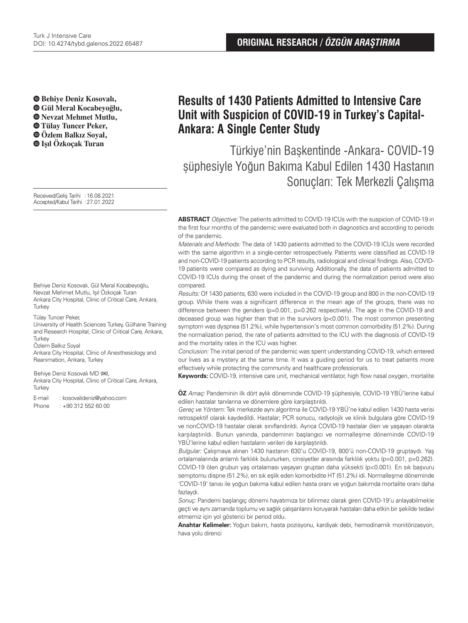**Behiye Deniz Kosovalı, Gül Meral Kocabeyoğlu, Nevzat Mehmet Mutlu, Tülay Tuncer Peker, Özlem Balkız Soyal,** 

Received/Geliş Tarihi :16.08.2021 Accepted/Kabul Tarihi :27.01.2022

Behiye Deniz Kosovalı, Gül Meral Kocabeyoğlu, Nevzat Mehmet Mutlu, Işıl Özkoçak Turan Ankara City Hospital, Clinic of Critical Care, Ankara, Turkey

Tülay Tuncer Peker,

University of Health Sciences Turkey, Gülhane Training and Research Hospital, Clinic of Critical Care, Ankara, **Turkey** 

Özlem Balkız Soyal

Ankara City Hospital, Clinic of Anesthesiology and Reanimation, Ankara, Turkey

Behiye Deniz Kosovalı MD (**✉**),

Ankara City Hospital, Clinic of Critical Care, Ankara, **Turkey** 

E-mail : kosovalideniz@yahoo.com

Phone : +90 312 552 60 00

# **Results of 1430 Patients Admitted to Intensive Care Unit with Suspicion of COVID-19 in Turkey's Capital-Ankara: A Single Center Study**

 **Işıl Özkoçak Turan** Türkiye'nin Başkentinde -Ankara- COVID-19 şüphesiyle Yoğun Bakıma Kabul Edilen 1430 Hastanın Sonuçları: Tek Merkezli Çalışma

> **ABSTRACT** Objective: The patients admitted to COVID-19 ICUs with the suspicion of COVID-19 in the first four months of the pandemic were evaluated both in diagnostics and according to periods of the pandemic.

> Materials and Methods: The data of 1430 patients admitted to the COVID-19 ICUs were recorded with the same algorithm in a single-center retrospectively. Patients were classified as COVID-19 and non-COVID-19 patients according to PCR results, radiological and clinical findings. Also, COVID-19 patients were compared as dying and surviving. Additionally, the data of patients admitted to COVID-19 ICUs during the onset of the pandemic and during the normalization period were also compared.

> Results: Of 1430 patients, 630 were included in the COVID-19 group and 800 in the non-COVID-19 group. While there was a significant difference in the mean age of the groups, there was no difference between the genders (p=0.001, p=0.262 respectively). The age in the COVID-19 and deceased group was higher than that in the survivors  $(p<0.001)$ . The most common presenting symptom was dyspnea (51.2%), while hypertension's most common comorbidity (51.2%). During the normalization period, the rate of patients admitted to the ICU with the diagnosis of COVID-19 and the mortality rates in the ICU was higher.

> Conclusion: The initial period of the pandemic was spent understanding COVID-19, which entered our lives as a mystery at the same time. It was a guiding period for us to treat patients more effectively while protecting the community and healthcare professionals.

> **Keywords:** COVID-19, intensive care unit, mechanical ventilator, high flow nasal oxygen, mortalite

**ÖZ** Amaç: Pandeminin ilk dört aylık döneminde COVID-19 şüphesiyle, COVID-19 YBÜ'lerine kabul edilen hastalar tanılarına ve dönemlere göre karşılaştırıldı.

Gereç ve Yöntem: Tek merkezde aynı algoritma ile COVID-19 YBÜ'ne kabul edilen 1430 hasta verisi retrospektif olarak kaydedildi. Hastalar; PCR sonucu, radyolojik ve klinik bulgulara göre COVID-19 ve nonCOVID-19 hastalar olarak sınıflandırıldı. Ayrıca COVID-19 hastalar ölen ve yaşayan olarakta karşılaştırıldı. Bunun yanında, pandeminin başlangıcı ve normalleşme döneminde COVID-19 YBÜ'lerine kabul edilen hastaların verileri de karşılaştırıldı.

Bulgular: Çalışmaya alınan 1430 hastanın 630'u COVID-19, 800'ü non-COVID-19 gruptaydı. Yaş ortalamalarında anlamlı farklılık bulunurken, cinsiyetler arasında farklılık yoktu (p=0.001, p=0.262). COVID-19 ölen grubun yaş ortalaması yaşayan gruptan daha yüksekti (p<0.001). En sık başvuru semptomu dispne (51.2%), en sık eşlik eden komorbidite HT (51.2%) idi. Normalleşme döneminde 'COVID-19' tanısı ile yoğun bakıma kabul edilen hasta oranı ve yoğun bakımda mortalite oranı daha fazlaydı.

Sonuç: Pandemi başlangıç dönemi hayatımıza bir bilinmez olarak giren COVID-19'u anlayabilmekle geçti ve aynı zamanda toplumu ve sağlık çalışanlarını koruyarak hastaları daha etkin bir şekilde tedavi etmemiz için yol gösterici bir period oldu.

**Anahtar Kelimeler:** Yoğun bakım, hasta pozisyonu, kardiyak debi, hemodinamik monitörizasyon, hava yolu direnci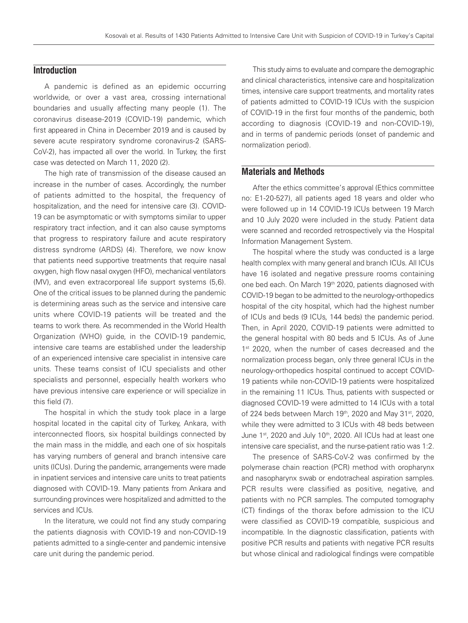## **Introduction**

A pandemic is defined as an epidemic occurring worldwide, or over a vast area, crossing international boundaries and usually affecting many people (1). The coronavirus disease-2019 (COVID-19) pandemic, which first appeared in China in December 2019 and is caused by severe acute respiratory syndrome coronavirus-2 (SARS-CoV-2), has impacted all over the world. In Turkey, the first case was detected on March 11, 2020 (2).

The high rate of transmission of the disease caused an increase in the number of cases. Accordingly, the number of patients admitted to the hospital, the frequency of hospitalization, and the need for intensive care (3). COVID-19 can be asymptomatic or with symptoms similar to upper respiratory tract infection, and it can also cause symptoms that progress to respiratory failure and acute respiratory distress syndrome (ARDS) (4). Therefore, we now know that patients need supportive treatments that require nasal oxygen, high flow nasal oxygen (HFO), mechanical ventilators (MV), and even extracorporeal life support systems (5,6). One of the critical issues to be planned during the pandemic is determining areas such as the service and intensive care units where COVID-19 patients will be treated and the teams to work there. As recommended in the World Health Organization (WHO) guide, in the COVID-19 pandemic, intensive care teams are established under the leadership of an experienced intensive care specialist in intensive care units. These teams consist of ICU specialists and other specialists and personnel, especially health workers who have previous intensive care experience or will specialize in this field (7).

The hospital in which the study took place in a large hospital located in the capital city of Turkey, Ankara, with interconnected floors, six hospital buildings connected by the main mass in the middle, and each one of six hospitals has varying numbers of general and branch intensive care units (ICUs). During the pandemic, arrangements were made in inpatient services and intensive care units to treat patients diagnosed with COVID-19. Many patients from Ankara and surrounding provinces were hospitalized and admitted to the services and ICUs.

In the literature, we could not find any study comparing the patients diagnosis with COVID-19 and non-COVID-19 patients admitted to a single-center and pandemic intensive care unit during the pandemic period.

This study aims to evaluate and compare the demographic and clinical characteristics, intensive care and hospitalization times, intensive care support treatments, and mortality rates of patients admitted to COVID-19 ICUs with the suspicion of COVID-19 in the first four months of the pandemic, both according to diagnosis (COVID-19 and non-COVID-19), and in terms of pandemic periods (onset of pandemic and normalization period).

## **Materials and Methods**

After the ethics committee's approval (Ethics committee no: E1-20-527), all patients aged 18 years and older who were followed up in 14 COVID-19 ICUs between 19 March and 10 July 2020 were included in the study. Patient data were scanned and recorded retrospectively via the Hospital Information Management System.

The hospital where the study was conducted is a large health complex with many general and branch ICUs. All ICUs have 16 isolated and negative pressure rooms containing one bed each. On March 19<sup>th</sup> 2020, patients diagnosed with COVID-19 began to be admitted to the neurology-orthopedics hospital of the city hospital, which had the highest number of ICUs and beds (9 ICUs, 144 beds) the pandemic period. Then, in April 2020, COVID-19 patients were admitted to the general hospital with 80 beds and 5 ICUs. As of June 1<sup>st</sup> 2020, when the number of cases decreased and the normalization process began, only three general ICUs in the neurology-orthopedics hospital continued to accept COVID-19 patients while non-COVID-19 patients were hospitalized in the remaining 11 ICUs. Thus, patients with suspected or diagnosed COVID-19 were admitted to 14 ICUs with a total of 224 beds between March 19th, 2020 and May 31st, 2020, while they were admitted to 3 ICUs with 48 beds between June 1<sup>st</sup>, 2020 and July 10<sup>th</sup>, 2020. All ICUs had at least one intensive care specialist, and the nurse-patient ratio was 1:2.

The presence of SARS-CoV-2 was confirmed by the polymerase chain reaction (PCR) method with oropharynx and nasopharynx swab or endotracheal aspiration samples. PCR results were classified as positive, negative, and patients with no PCR samples. The computed tomography (CT) findings of the thorax before admission to the ICU were classified as COVID-19 compatible, suspicious and incompatible. In the diagnostic classification, patients with positive PCR results and patients with negative PCR results but whose clinical and radiological findings were compatible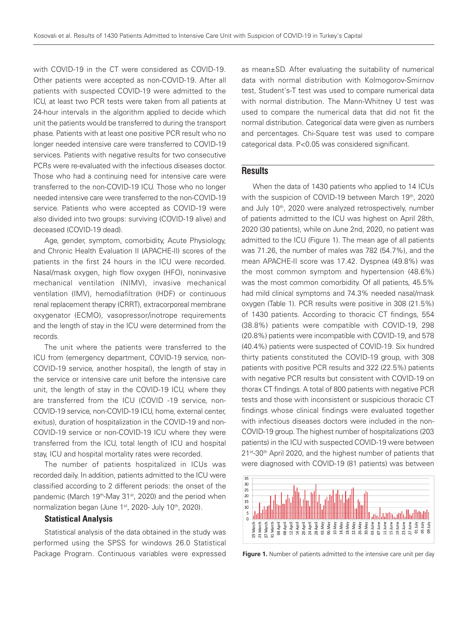with COVID-19 in the CT were considered as COVID-19. Other patients were accepted as non-COVID-19. After all patients with suspected COVID-19 were admitted to the ICU, at least two PCR tests were taken from all patients at 24-hour intervals in the algorithm applied to decide which unit the patients would be transferred to during the transport phase. Patients with at least one positive PCR result who no longer needed intensive care were transferred to COVID-19 services. Patients with negative results for two consecutive PCRs were re-evaluated with the infectious diseases doctor. Those who had a continuing need for intensive care were transferred to the non-COVID-19 ICU. Those who no longer needed intensive care were transferred to the non-COVID-19 service. Patients who were accepted as COVID-19 were also divided into two groups: surviving (COVID-19 alive) and deceased (COVID-19 dead).

Age, gender, symptom, comorbidity, Acute Physiology, and Chronic Health Evaluation II (APACHE-II) scores of the patients in the first 24 hours in the ICU were recorded. Nasal/mask oxygen, high flow oxygen (HFO), noninvasive mechanical ventilation (NIMV), invasive mechanical ventilation (IMV), hemodiafiltration (HDF) or continuous renal replacement therapy (CRRT), extracorporeal membrane oxygenator (ECMO), vasopressor/inotrope requirements and the length of stay in the ICU were determined from the records.

The unit where the patients were transferred to the ICU from (emergency department, COVID-19 service, non-COVID-19 service, another hospital), the length of stay in the service or intensive care unit before the intensive care unit, the length of stay in the COVID-19 ICU, where they are transferred from the ICU (COVID -19 service, non-COVID-19 service, non-COVID-19 ICU, home, external center, exitus), duration of hospitalization in the COVID-19 and non-COVID-19 service or non-COVID-19 ICU where they were transferred from the ICU, total length of ICU and hospital stay, ICU and hospital mortality rates were recorded.

The number of patients hospitalized in ICUs was recorded daily. In addition, patients admitted to the ICU were classified according to 2 different periods: the onset of the pandemic (March 19<sup>th</sup>-May 31<sup>st</sup>, 2020) and the period when normalization began (June 1<sup>st</sup>, 2020- July 10<sup>th</sup>, 2020).

#### Statistical Analysis

Statistical analysis of the data obtained in the study was performed using the SPSS for windows 26.0 Statistical Package Program. Continuous variables were expressed

as mean±SD. After evaluating the suitability of numerical data with normal distribution with Kolmogorov-Smirnov test, Student's-T test was used to compare numerical data with normal distribution. The Mann-Whitney U test was used to compare the numerical data that did not fit the normal distribution. Categorical data were given as numbers and percentages. Chi-Square test was used to compare categorical data. P<0.05 was considered significant.

## **Results**

When the data of 1430 patients who applied to 14 ICUs with the suspicion of COVID-19 between March 19th, 2020 and July 10<sup>th</sup>, 2020 were analyzed retrospectively, number of patients admitted to the ICU was highest on April 28th, 2020 (30 patients), while on June 2nd, 2020, no patient was admitted to the ICU (Figure 1). The mean age of all patients was 71.26, the number of males was 782 (54.7%), and the mean APACHE-II score was 17.42. Dyspnea (49.8%) was the most common symptom and hypertension (48.6%) was the most common comorbidity. Of all patients, 45.5% had mild clinical symptoms and 74.3% needed nasal/mask oxygen (Table 1). PCR results were positive in 308 (21.5%) of 1430 patients. According to thoracic CT findings, 554 (38.8%) patients were compatible with COVID-19, 298 (20.8%) patients were incompatible with COVID-19, and 578 (40.4%) patients were suspected of COVID-19. Six hundred thirty patients constituted the COVID-19 group, with 308 patients with positive PCR results and 322 (22.5%) patients with negative PCR results but consistent with COVID-19 on thorax CT findings. A total of 800 patients with negative PCR tests and those with inconsistent or suspicious thoracic CT findings whose clinical findings were evaluated together with infectious diseases doctors were included in the non-COVID-19 group. The highest number of hospitalizations (203 patients) in the ICU with suspected COVID-19 were between 21<sup>st</sup>-30<sup>th</sup> April 2020, and the highest number of patients that were diagnosed with COVID-19 (81 patients) was between



Figure 1. Number of patients admitted to the intensive care unit per day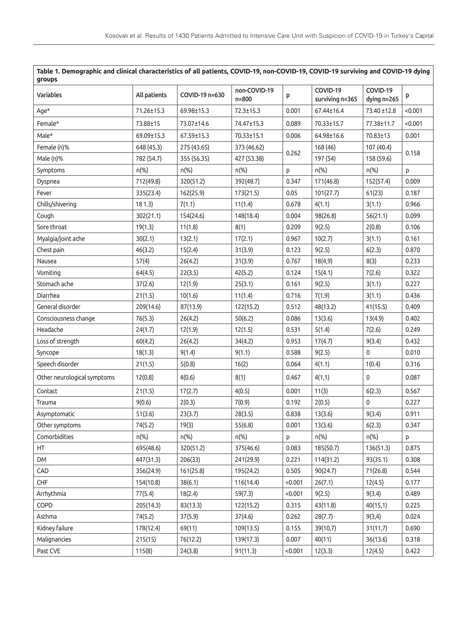| groups<br>Variables         |              | COVID-19 n=630 | non-COVID-19 |       | COVID-19        | COVID-19    |         |
|-----------------------------|--------------|----------------|--------------|-------|-----------------|-------------|---------|
|                             | All patients |                | $n = 800$    | p     | surviving n=365 | dying n=265 | p       |
| Age*                        | 71.26±15.3   | 69.98±15.3     | 72.3±15.3    | 0.001 | 67.44±16.4      | 73.40 ±12.8 | < 0.001 |
| Female*                     | 73.88±15     | 73.07±14.6     | 74.47±15.3   | 0.089 | 70.33±15.7      | 77.38±11.7  | < 0.001 |
| Male*                       | 69.09±15.3   | 67.59±15.3     | 70.33±15.1   | 0.006 | 64.98±16.6      | 70.83±13    | 0.001   |
| Female (n)%                 | 648 (45.3)   | 275 (43.65)    | 373 (46.62)  |       | 168 (46)        | 107 (40.4)  |         |
| Male (n)%                   | 782 (54.7)   | 355 (56.35)    | 427 (53.38)  | 0.262 | 197 (54)        | 158 (59.6)  | 0.158   |
| Symptoms                    | $n$ (%)      | $n$ (%)        | $n$ (%)      | p     | $n$ (%)         | $n$ (%)     | p       |
| Dyspnea                     | 712(49.8)    | 320(51.2)      | 392(48.7)    | 0.347 | 171(46.8)       | 152(57.4)   | 0.009   |
| Fever                       | 335(23.4)    | 162(25.9)      | 173(21.5)    | 0.05  | 101(27.7)       | 61(23)      | 0.187   |
| Chills/shivering            | 181.3)       | 7(1.1)         | 11(1.4)      | 0.678 | 4(1.1)          | 3(1.1)      | 0.966   |
| Cough                       | 302(21.1)    | 154(24.6)      | 148(18.4)    | 0.004 | 98(26.8)        | 56(21.1)    | 0.099   |
| Sore throat                 | 19(1.3)      | 11(1.8)        | 8(1)         | 0.209 | 9(2.5)          | 2(0.8)      | 0.106   |
| Myalgia/joint ache          | 30(2.1)      | 13(2.1)        | 17(2.1)      | 0.967 | 10(2.7)         | 3(1.1)      | 0.161   |
| Chest pain                  | 46(3.2)      | 15(2.4)        | 31(3.9)      | 0.123 | 9(2.5)          | 6(2.3)      | 0.870   |
| Nausea                      | 57(4)        | 26(4.2)        | 31(3.9)      | 0.767 | 18(4,9)         | 8(3)        | 0.233   |
| Vomiting                    | 64(4.5)      | 22(3.5)        | 42(5.2)      | 0.124 | 15(4.1)         | 7(2.6)      | 0.322   |
| Stomach ache                | 37(2.6)      | 12(1.9)        | 25(3.1)      | 0.161 | 9(2.5)          | 3(1.1)      | 0.227   |
| Diarrhea                    | 21(1.5)      | 10(1.6)        | 11(1.4)      | 0.716 | 7(1.9)          | 3(1.1)      | 0.436   |
| General disorder            | 209(14.6)    | 87(13.9)       | 122(15.2)    | 0.512 | 48(13.2)        | 41(15.5)    | 0.409   |
| Consciousness change        | 76(5.3)      | 26(4.2)        | 50(6.2)      | 0.086 | 13(3.6)         | 13(4.9)     | 0.402   |
| Headache                    | 24(1.7)      | 12(1.9)        | 12(1.5)      | 0.531 | 5(1.4)          | 7(2.6)      | 0.249   |
| Loss of strength            | 60(4.2)      | 26(4.2)        | 34(4.2)      | 0.953 | 17(4.7)         | 9(3.4)      | 0.432   |
| Syncope                     | 18(1.3)      | 9(1.4)         | 9(1.1)       | 0.588 | 9(2.5)          | $\mathbf 0$ | 0.010   |
| Speech disorder             | 21(1.5)      | 5(0.8)         | 16(2)        | 0.064 | 4(1.1)          | 1(0.4)      | 0.316   |
| Other neurological symptoms | 12(0.8)      | 4(0.6)         | 8(1)         | 0.467 | 4(1,1)          | $\mathbf 0$ | 0.087   |
| Contact                     | 21(1.5)      | 17(2.7)        | 4(0.5)       | 0.001 | 11(3)           | 6(2.3)      | 0.567   |
| Trauma                      | 9(0.6)       | 2(0.3)         | 7(0.9)       | 0.192 | 2(0.5)          | $\pmb{0}$   | 0.227   |
| Asymptomatic                | 51(3.6)      | 23(3.7)        | 28(3.5)      | 0.838 | 13(3.6)         | 9(3.4)      | 0.911   |
| Other symptoms              | 74(5.2)      | 19(3)          | 55(6.8)      | 0.001 | 13(3.6)         | 6(2.3)      | 0.347   |
| Comorbidities               | $n$ (%)      | $n$ (%)        | n(%)         | p     | $n$ (%)         | n(%)        | p       |
| HT                          | 695(48.6)    | 320(51.2)      | 375(46.6)    | 0.083 | 185(50.7)       | 136(51.3)   | 0.875   |
| <b>DM</b>                   | 447(31.3)    | 206(33)        | 241(29.9)    | 0.221 | 114(31.2)       | 93(35.1)    | 0.308   |
| CAD                         | 356(24.9)    | 161(25.8)      | 195(24.2)    | 0.505 | 90(24.7)        | 71(26.8)    | 0.544   |
|                             |              |                |              |       |                 |             |         |

CHF 154(10.8) 38(6.1) 116(14.4) <0.001 26(7.1) 12(4.5) 0.177 Arrhythmia 77(5.4) 18(2.4) 59(7.3) <0.001 9(2.5) 9(3.4) 0.489 COPD 205(14.3) 83(13.3) 122(15.2) 0.315 43(11.8) 40(15,1) 0.225 Asthma 74(5.2) 37(5.9) 37(4.6) 0.262 28(7.7) 9(3,4) 0.024 Kidney failure 178(12.4) 69(11) 109(13.5) 0.155 39(10,7) 31(11,7) 0.690 Malignancies 215(15) 76(12.2) 139(17.3) 0.007 40(11) 36(13.6) 0.318 Past CVE 115(8) 24(3.8) 91(11.3) <0.001 12(3.3) 12(4.5) 0.422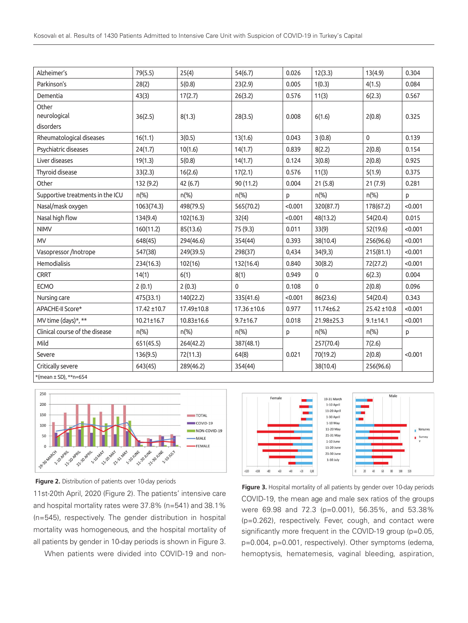| Alzheimer's                        | 79(5.5)          | 25(4)      | 54(6.7)        | 0.026   | 12(3.3)         | 13(4.9)        | 0.304   |
|------------------------------------|------------------|------------|----------------|---------|-----------------|----------------|---------|
| Parkinson's                        | 28(2)            | 5(0.8)     | 23(2.9)        | 0.005   | 1(0.3)          | 4(1.5)         | 0.084   |
| Dementia                           | 43(3)            | 17(2.7)    | 26(3.2)        | 0.576   | 11(3)           | 6(2.3)         | 0.567   |
| Other<br>neurological<br>disorders | 36(2.5)          | 8(1.3)     | 28(3.5)        | 0.008   | 6(1.6)          | 2(0.8)         | 0.325   |
| Rheumatological diseases           | 16(1.1)          | 3(0.5)     | 13(1.6)        | 0.043   | 3(0.8)          | $\mathbf 0$    | 0.139   |
| Psychiatric diseases               | 24(1.7)          | 10(1.6)    | 14(1.7)        | 0.839   | 8(2.2)          | 2(0.8)         | 0.154   |
| Liver diseases                     | 19(1.3)          | 5(0.8)     | 14(1.7)        | 0.124   | 3(0.8)          | 2(0.8)         | 0.925   |
| Thyroid disease                    | 33(2.3)          | 16(2.6)    | 17(2.1)        | 0.576   | 11(3)           | 5(1.9)         | 0.375   |
| Other                              | 132 (9.2)        | 42 (6.7)   | 90 (11.2)      | 0.004   | 21(5.8)         | 21(7.9)        | 0.281   |
| Supportive treatments in the ICU   | $n$ (%)          | $n$ (%)    | $n$ (%)        | p       | $n$ (%)         | $n$ (%)        | p       |
| Nasal/mask oxygen                  | 1063(74.3)       | 498(79.5)  | 565(70.2)      | < 0.001 | 320(87.7)       | 178(67.2)      | < 0.001 |
| Nasal high flow                    | 134(9.4)         | 102(16.3)  | 32(4)          | < 0.001 | 48(13.2)        | 54(20.4)       | 0.015   |
| <b>NIMV</b>                        | 160(11.2)        | 85(13.6)   | 75 (9.3)       | 0.011   | 33(9)           | 52(19.6)       | < 0.001 |
| <b>MV</b>                          | 648(45)          | 294(46.6)  | 354(44)        | 0.393   | 38(10.4)        | 256(96.6)      | < 0.001 |
| Vasopressor /Inotrope              | 547(38)          | 249(39.5)  | 298(37)        | 0,434   | 34(9,3)         | 215(81.1)      | < 0.001 |
| Hemodialisis                       | 234(16.3)        | 102(16)    | 132(16.4)      | 0.840   | 30(8.2)         | 72(27.2)       | < 0.001 |
| <b>CRRT</b>                        | 14(1)            | 6(1)       | 8(1)           | 0.949   | 0               | 6(2.3)         | 0.004   |
| <b>ECMO</b>                        | 2(0.1)           | 2(0.3)     | $\mathbf 0$    | 0.108   | 0               | 2(0.8)         | 0.096   |
| Nursing care                       | 475(33.1)        | 140(22.2)  | 335(41.6)      | < 0.001 | 86(23.6)        | 54(20.4)       | 0.343   |
| APACHE-II Score*                   | 17.42 ±10.7      | 17.49±10.8 | 17.36 ±10.6    | 0.977   | $11.74 \pm 6.2$ | 25.42 ±10.8    | < 0.001 |
| MV time (days)*, **                | $10.21 \pm 16.7$ | 10.83±16.6 | $9.7 \pm 16.7$ | 0.018   | 21.98±25.3      | $9.1 \pm 14.1$ | < 0.001 |
| Clinical course of the disease     | $n(\%)$          | $n$ (%)    | $n(\%)$        | P       | $n(\%)$         | n(%)           | p       |
| Mild                               | 651(45.5)        | 264(42.2)  | 387(48.1)      |         | 257(70.4)       | 7(2.6)         |         |
| Severe                             | 136(9.5)         | 72(11.3)   | 64(8)          | 0.021   | 70(19.2)        | 2(0.8)         | < 0.001 |
| Critically severe                  | 643(45)          | 289(46.2)  | 354(44)        |         | 38(10.4)        | 256(96.6)      |         |
| *(mean ± SD), ** n=654             |                  |            |                |         |                 |                |         |



11st-20th April, 2020 (Figure 2). The patients' intensive care and hospital mortality rates were 37.8% (n=541) and 38.1% (n=545), respectively. The gender distribution in hospital mortality was homogeneous, and the hospital mortality of all patients by gender in 10-day periods is shown in Figure 3.

When patients were divided into COVID-19 and non-



COVID-19, the mean age and male sex ratios of the groups were 69.98 and 72.3 (p=0.001), 56.35%, and 53.38% (p=0.262), respectively. Fever, cough, and contact were significantly more frequent in the COVID-19 group (p=0.05, p=0.004, p=0.001, respectively). Other symptoms (edema, hemoptysis, hematemesis, vaginal bleeding, aspiration, **Figure 2.** Distribution of patients over 10-day periods **Figure 3.** Hospital mortality of all patients by gender over 10-day periods **Figure 3.** Hospital mortality of all patients by gender over 10-day periods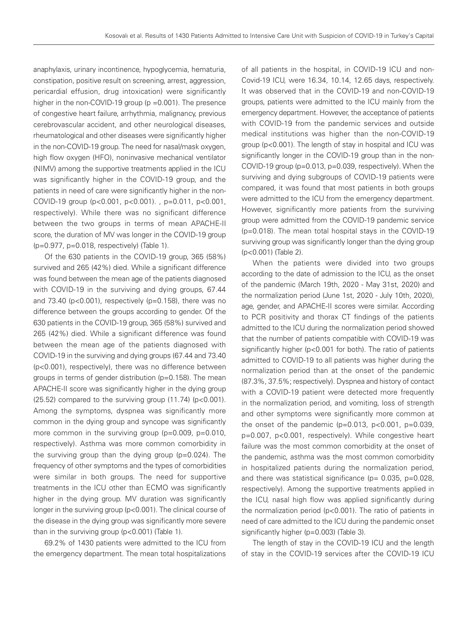anaphylaxis, urinary incontinence, hypoglycemia, hematuria, constipation, positive result on screening, arrest, aggression, pericardial effusion, drug intoxication) were significantly higher in the non-COVID-19 group (p = 0.001). The presence of congestive heart failure, arrhythmia, malignancy, previous cerebrovascular accident, and other neurological diseases, rheumatological and other diseases were significantly higher in the non-COVID-19 group. The need for nasal/mask oxygen, high flow oxygen (HFO), noninvasive mechanical ventilator (NIMV) among the supportive treatments applied in the ICU was significantly higher in the COVID-19 group, and the patients in need of care were significantly higher in the non-COVID-19 group (p<0.001, p<0.001). , p=0.011, p<0.001, respectively). While there was no significant difference between the two groups in terms of mean APACHE-II score, the duration of MV was longer in the COVID-19 group (p=0.977, p=0.018, respectively) (Table 1).

Of the 630 patients in the COVID-19 group, 365 (58%) survived and 265 (42%) died. While a significant difference was found between the mean age of the patients diagnosed with COVID-19 in the surviving and dying groups, 67.44 and 73.40 ( $p < 0.001$ ), respectively ( $p = 0.158$ ), there was no difference between the groups according to gender. Of the 630 patients in the COVID-19 group, 365 (58%) survived and 265 (42%) died. While a significant difference was found between the mean age of the patients diagnosed with COVID-19 in the surviving and dying groups (67.44 and 73.40 (p<0.001), respectively), there was no difference between groups in terms of gender distribution (p=0.158). The mean APACHE-II score was significantly higher in the dying group  $(25.52)$  compared to the surviving group  $(11.74)$  (p<0.001). Among the symptoms, dyspnea was significantly more common in the dying group and syncope was significantly more common in the surviving group (p=0.009, p=0.010, respectively). Asthma was more common comorbidity in the surviving group than the dying group (p=0.024). The frequency of other symptoms and the types of comorbidities were similar in both groups. The need for supportive treatments in the ICU other than ECMO was significantly higher in the dying group. MV duration was significantly longer in the surviving group (p<0.001). The clinical course of the disease in the dying group was significantly more severe than in the surviving group (p<0.001) (Table 1).

69.2% of 1430 patients were admitted to the ICU from the emergency department. The mean total hospitalizations

of all patients in the hospital, in COVID-19 ICU and non-Covid-19 ICU, were 16.34, 10.14, 12.65 days, respectively. It was observed that in the COVID-19 and non-COVID-19 groups, patients were admitted to the ICU mainly from the emergency department. However, the acceptance of patients with COVID-19 from the pandemic services and outside medical institutions was higher than the non-COVID-19 group (p<0.001). The length of stay in hospital and ICU was significantly longer in the COVID-19 group than in the non-COVID-19 group (p=0.013, p=0.039, respectively). When the surviving and dying subgroups of COVID-19 patients were compared, it was found that most patients in both groups were admitted to the ICU from the emergency department. However, significantly more patients from the surviving group were admitted from the COVID-19 pandemic service (p=0.018). The mean total hospital stays in the COVID-19 surviving group was significantly longer than the dying group (p<0.001) (Table 2).

When the patients were divided into two groups according to the date of admission to the ICU, as the onset of the pandemic (March 19th, 2020 - May 31st, 2020) and the normalization period (June 1st, 2020 - July 10th, 2020), age, gender, and APACHE-II scores were similar. According to PCR positivity and thorax CT findings of the patients admitted to the ICU during the normalization period showed that the number of patients compatible with COVID-19 was significantly higher (p<0.001 for both). The ratio of patients admitted to COVID-19 to all patients was higher during the normalization period than at the onset of the pandemic (87.3%, 37.5%; respectively). Dyspnea and history of contact with a COVID-19 patient were detected more frequently in the normalization period, and vomiting, loss of strength and other symptoms were significantly more common at the onset of the pandemic ( $p=0.013$ ,  $p<0.001$ ,  $p=0.039$ , p=0.007, p<0.001, respectively). While congestive heart failure was the most common comorbidity at the onset of the pandemic, asthma was the most common comorbidity in hospitalized patients during the normalization period, and there was statistical significance ( $p= 0.035$ ,  $p=0.028$ , respectively). Among the supportive treatments applied in the ICU, nasal high flow was applied significantly during the normalization period (p<0.001). The ratio of patients in need of care admitted to the ICU during the pandemic onset significantly higher (p=0.003) (Table 3).

The length of stay in the COVID-19 ICU and the length of stay in the COVID-19 services after the COVID-19 ICU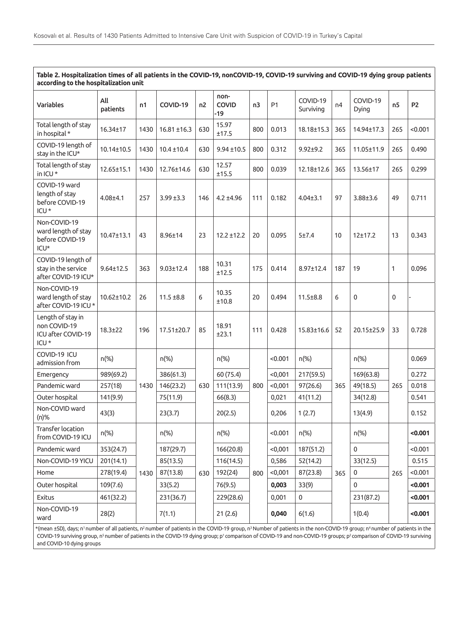**Table 2. Hospitalization times of all patients in the COVID-19, nonCOVID-19, COVID-19 surviving and COVID-19 dying group patients according to the hospitalization unit**

| <b>Variables</b>                                                            | All<br>patients  | n1   | COVID-19         | n2  | non-<br><b>COVID</b><br>-19 | n3  | <b>P1</b> | COVID-19<br>Surviving | n4  | COVID-19<br>Dying | n <sub>5</sub> | P <sub>2</sub> |
|-----------------------------------------------------------------------------|------------------|------|------------------|-----|-----------------------------|-----|-----------|-----------------------|-----|-------------------|----------------|----------------|
| Total length of stay<br>in hospital *                                       | 16.34±17         | 1430 | $16.81 \pm 16.3$ | 630 | 15.97<br>±17.5              | 800 | 0.013     | 18.18±15.3            | 365 | 14.94±17.3        | 265            | < 0.001        |
| COVID-19 length of<br>stay in the ICU*                                      | 10.14±10.5       | 1430 | $10.4 \pm 10.4$  | 630 | $9.94 \pm 10.5$             | 800 | 0.312     | $9.92 + 9.2$          | 365 | 11.05±11.9        | 265            | 0.490          |
| Total length of stay<br>in ICU*                                             | 12.65±15.1       | 1430 | 12.76±14.6       | 630 | 12.57<br>±15.5              | 800 | 0.039     | 12.18±12.6            | 365 | 13.56±17          | 265            | 0.299          |
| COVID-19 ward<br>length of stay<br>before COVID-19<br>ICU <sup>*</sup>      | $4.08 + 4.1$     | 257  | $3.99 \pm 3.3$   | 146 | $4.2 + 4.96$                | 111 | 0.182     | $4.04 \pm 3.1$        | 97  | $3.88 + 3.6$      | 49             | 0.711          |
| Non-COVID-19<br>ward length of stay<br>before COVID-19<br>ICU*              | $10.47 \pm 13.1$ | 43   | 8.96±14          | 23  | $12.2 \pm 12.2$             | 20  | 0.095     | 5±7.4                 | 10  | 12±17.2           | 13             | 0.343          |
| COVID-19 length of<br>stay in the service<br>after COVID-19 ICU*            | $9.64 \pm 12.5$  | 363  | $9.03 \pm 12.4$  | 188 | 10.31<br>±12.5              | 175 | 0.414     | 8.97±12.4             | 187 | 19                | 1              | 0.096          |
| Non-COVID-19<br>ward length of stay<br>after COVID-19 ICU*                  | $10.62 \pm 10.2$ | 26   | $11.5 \pm 8.8$   | 6   | 10.35<br>±10.8              | 20  | 0.494     | $11.5 + 8.8$          | 6   | 0                 | 0              |                |
| Length of stay in<br>non COVID-19<br>ICU after COVID-19<br>ICU <sup>*</sup> | $18.3 + 22$      | 196  | 17.51±20.7       | 85  | 18.91<br>±23.1              | 111 | 0.428     | $15.83 \pm 16.6$      | 52  | 20.15±25.9        | 33             | 0.728          |
| COVID-19 ICU<br>admission from                                              | $n$ (%)          |      | n(%)             |     | $n$ (%)                     |     | < 0.001   | $n$ (%)               |     | n(%)              |                | 0.069          |
| Emergency                                                                   | 989(69.2)        |      | 386(61.3)        |     | 60 (75.4)                   |     | < 0,001   | 217(59.5)             |     | 169(63.8)         |                | 0.272          |
| Pandemic ward                                                               | 257(18)          | 1430 | 146(23.2)        | 630 | 111(13.9)                   | 800 | < 0,001   | 97(26.6)              | 365 | 49(18.5)          | 265            | 0.018          |
| Outer hospital                                                              | 141(9.9)         |      | 75(11.9)         |     | 66(8.3)                     |     | 0,021     | 41(11.2)              |     | 34(12.8)          |                | 0.541          |
| Non-COVID ward<br>(n)%                                                      | 43(3)            |      | 23(3.7)          |     | 20(2.5)                     |     | 0,206     | 1(2.7)                |     | 13(4.9)           |                | 0.152          |
| Transfer location<br>from COVID-19 ICU                                      | $n$ (%)          |      | $n$ (%)          |     | n(%)                        |     | < 0.001   | $n$ (%)               |     | $n$ (%)           |                | < 0.001        |
| Pandemic ward                                                               | 353(24.7)        |      | 187(29.7)        |     | 166(20.8)                   |     | < 0,001   | 187(51.2)             |     | 0                 |                | < 0.001        |
| Non-COVID-19 YICU                                                           | 201(14.1)        |      | 85(13.5)         |     | 116(14.5)                   |     | 0,586     | 52(14.2)              |     | 33(12.5)          |                | 0.515          |
| Home                                                                        | 278(19.4)        | 1430 | 87(13.8)         | 630 | 192(24)                     | 800 | < 0,001   | 87(23.8)              | 365 | 0                 | 265            | < 0.001        |
| Outer hospital                                                              | 109(7.6)         |      | 33(5.2)          |     | 76(9.5)                     |     | 0,003     | 33(9)                 |     | 0                 |                | < 0.001        |
| Exitus                                                                      | 461(32.2)        |      | 231(36.7)        |     | 229(28.6)                   |     | 0,001     | 0                     |     | 231(87.2)         |                | < 0.001        |
| Non-COVID-19<br>ward                                                        | 28(2)            |      | 7(1.1)           |     | 21(2.6)                     |     | 0,040     | 6(1.6)                |     | 1(0.4)            |                | < 0.001        |

\*(mean ±SD), days; n<sup>1</sup> number of all patients, n<sup>2</sup> number of patients in the COVID-19 group, n<sup>3</sup> Number of patients in the non-COVID-19 group; n<sup>4</sup> number of patients in the COVID-19 surviving group, n<sup>5</sup> number of patients in the COVID-19 dying group; p<sup>1</sup> comparison of COVID-19 and non-COVID-19 groups; p<sup>2</sup> comparison of COVID-19 surviving and COVID-10 dying groups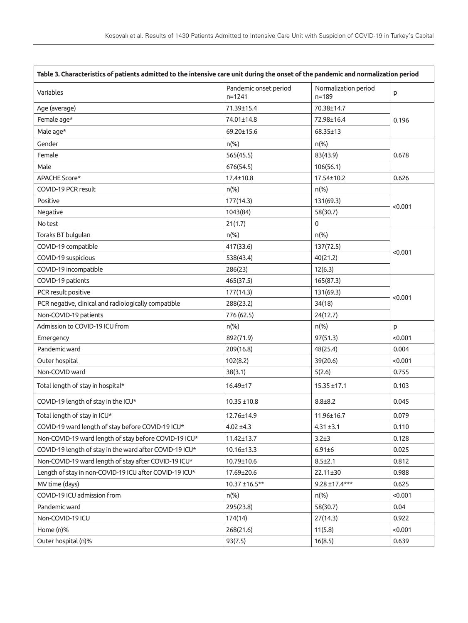| Table 3. Characteristics of patients admitted to the intensive care unit during the onset of the pandemic and normalization period |                                     |                                   |         |  |
|------------------------------------------------------------------------------------------------------------------------------------|-------------------------------------|-----------------------------------|---------|--|
| Variables                                                                                                                          | Pandemic onset period<br>$n = 1241$ | Normalization period<br>$n = 189$ | p       |  |
| Age (average)                                                                                                                      | 71.39±15.4                          | 70.38±14.7                        |         |  |
| Female age*                                                                                                                        | 74.01±14.8                          | 72.98±16.4                        | 0.196   |  |
| Male age*                                                                                                                          | 69.20±15.6                          | 68.35±13                          |         |  |
| Gender                                                                                                                             | $n$ (%)                             | $n$ (%)                           |         |  |
| Female                                                                                                                             | 565(45.5)                           | 83(43.9)                          | 0.678   |  |
| Male                                                                                                                               | 676(54.5)                           | 106(56.1)                         |         |  |
| APACHE Score*                                                                                                                      | $17.4 \pm 10.8$                     | 17.54±10.2                        | 0.626   |  |
| COVID-19 PCR result                                                                                                                | $n$ (%)                             | $n$ (%)                           |         |  |
| Positive                                                                                                                           | 177(14.3)                           | 131(69.3)                         |         |  |
| Negative                                                                                                                           | 1043(84)                            | 58(30.7)                          | < 0.001 |  |
| No test                                                                                                                            | 21(1.7)                             | $\mathbf{0}$                      |         |  |
| Toraks BT bulguları                                                                                                                | $n$ (%)                             | $n$ (%)                           |         |  |
| COVID-19 compatible                                                                                                                | 417(33.6)                           | 137(72.5)                         |         |  |
| COVID-19 suspicious                                                                                                                | 538(43.4)                           | 40(21.2)                          | < 0.001 |  |
| COVID-19 incompatible                                                                                                              | 286(23)                             | 12(6.3)                           |         |  |
| COVID-19 patients                                                                                                                  | 465(37.5)                           | 165(87.3)                         |         |  |
| PCR result positive                                                                                                                | 177(14.3)                           | 131(69.3)                         |         |  |
| PCR negative, clinical and radiologically compatible                                                                               | 288(23.2)                           | 34(18)                            | < 0.001 |  |
| Non-COVID-19 patients                                                                                                              | 776 (62.5)                          | 24(12.7)                          |         |  |
| Admission to COVID-19 ICU from                                                                                                     | $n$ <sup>(%)</sup>                  | $n$ (%)                           | p       |  |
| Emergency                                                                                                                          | 892(71.9)                           | 97(51.3)                          | < 0.001 |  |
| Pandemic ward                                                                                                                      | 209(16.8)                           | 48(25.4)                          | 0.004   |  |
| Outer hospital                                                                                                                     | 102(8.2)                            | 39(20.6)                          | < 0.001 |  |
| Non-COVID ward                                                                                                                     | 38(3.1)                             | 5(2.6)                            | 0.755   |  |
| Total length of stay in hospital*                                                                                                  | 16.49±17                            | $15.35 \pm 17.1$                  | 0.103   |  |
| COVID-19 length of stay in the ICU*                                                                                                | $10.35 \pm 10.8$                    | $8.8 \pm 8.2$                     | 0.045   |  |
| Total length of stay in ICU*                                                                                                       | 12.76±14.9                          | 11.96±16.7                        | 0.079   |  |
| COVID-19 ward length of stay before COVID-19 ICU*                                                                                  | $4.02 \pm 4.3$                      | $4.31 \pm 3.1$                    | 0.110   |  |
| Non-COVID-19 ward length of stay before COVID-19 ICU*                                                                              | 11.42±13.7                          | $3.2 + 3$                         | 0.128   |  |
| COVID-19 length of stay in the ward after COVID-19 ICU*                                                                            | 10.16±13.3                          | $6.91 \pm 6$                      | 0.025   |  |
| Non-COVID-19 ward length of stay after COVID-19 ICU*                                                                               | 10.79±10.6                          | $8.5 \pm 2.1$                     | 0.812   |  |
| Length of stay in non-COVID-19 ICU after COVID-19 ICU*                                                                             | 17.69±20.6                          | 22.11±30                          | 0.988   |  |
| MV time (days)                                                                                                                     | 10.37 ±16.5**                       | $9.28 \pm 17.4***$                | 0.625   |  |
| COVID-19 ICU admission from                                                                                                        | n(%)                                | $n(\%)$                           | < 0.001 |  |
| Pandemic ward                                                                                                                      | 295(23.8)                           | 58(30.7)                          | 0.04    |  |
| Non-COVID-19 ICU                                                                                                                   | 174(14)                             | 27(14.3)                          | 0.922   |  |
| Home (n)%                                                                                                                          | 268(21.6)                           | 11(5.8)                           | < 0.001 |  |
| Outer hospital (n)%                                                                                                                | 93(7.5)                             | 16(8.5)                           | 0.639   |  |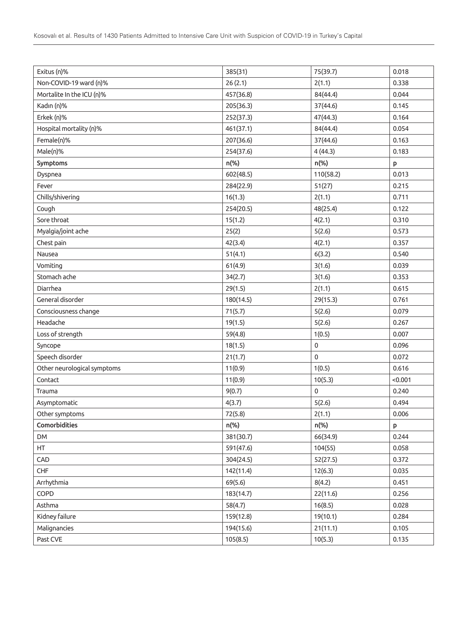| Exitus (n)%                 | 385(31)   | 75(39.7)  | 0.018   |
|-----------------------------|-----------|-----------|---------|
| Non-COVID-19 ward (n)%      | 26(2.1)   | 2(1.1)    | 0.338   |
| Mortalite In the ICU (n)%   | 457(36.8) | 84(44.4)  | 0.044   |
| Kadın (n)%                  | 205(36.3) | 37(44.6)  | 0.145   |
| Erkek (n)%                  | 252(37.3) | 47(44.3)  | 0.164   |
| Hospital mortality (n)%     | 461(37.1) | 84(44.4)  | 0.054   |
| Female(n)%                  | 207(36.6) | 37(44.6)  | 0.163   |
| Male(n)%                    | 254(37.6) | 4(44.3)   | 0.183   |
| Symptoms                    | n(%)      | n(%)      | p       |
| Dyspnea                     | 602(48.5) | 110(58.2) | 0.013   |
| Fever                       | 284(22.9) | 51(27)    | 0.215   |
| Chills/shivering            | 16(1.3)   | 2(1.1)    | 0.711   |
| Cough                       | 254(20.5) | 48(25.4)  | 0.122   |
| Sore throat                 | 15(1.2)   | 4(2.1)    | 0.310   |
| Myalgia/joint ache          | 25(2)     | 5(2.6)    | 0.573   |
| Chest pain                  | 42(3.4)   | 4(2.1)    | 0.357   |
| Nausea                      | 51(4.1)   | 6(3.2)    | 0.540   |
| Vomiting                    | 61(4.9)   | 3(1.6)    | 0.039   |
| Stomach ache                | 34(2.7)   | 3(1.6)    | 0.353   |
| Diarrhea                    | 29(1.5)   | 2(1.1)    | 0.615   |
| General disorder            | 180(14.5) | 29(15.3)  | 0.761   |
| Consciousness change        | 71(5.7)   | 5(2.6)    | 0.079   |
| Headache                    | 19(1.5)   | 5(2.6)    | 0.267   |
| Loss of strength            | 59(4.8)   | 1(0.5)    | 0.007   |
| Syncope                     | 18(1.5)   | 0         | 0.096   |
| Speech disorder             | 21(1.7)   | 0         | 0.072   |
| Other neurological symptoms | 11(0.9)   | 1(0.5)    | 0.616   |
| Contact                     | 11(0.9)   | 10(5.3)   | < 0.001 |
| Trauma                      | 9(0.7)    | 0         | 0.240   |
| Asymptomatic                | 4(3.7)    | 5(2.6)    | 0.494   |
| Other symptoms              | 72(5.8)   | 2(1.1)    | 0.006   |
| Comorbidities               | n(%)      | n(%)      | P       |
| <b>DM</b>                   | 381(30.7) | 66(34.9)  | 0.244   |
| HT                          | 591(47.6) | 104(55)   | 0.058   |
| CAD                         | 304(24.5) | 52(27.5)  | 0.372   |
| CHF                         | 142(11.4) | 12(6.3)   | 0.035   |
| Arrhythmia                  | 69(5.6)   | 8(4.2)    | 0.451   |
| COPD                        | 183(14.7) | 22(11.6)  | 0.256   |
| Asthma                      | 58(4.7)   | 16(8.5)   | 0.028   |
| Kidney failure              | 159(12.8) | 19(10.1)  | 0.284   |
| Malignancies                | 194(15.6) | 21(11.1)  | 0.105   |
| Past CVE                    | 105(8.5)  | 10(5.3)   | 0.135   |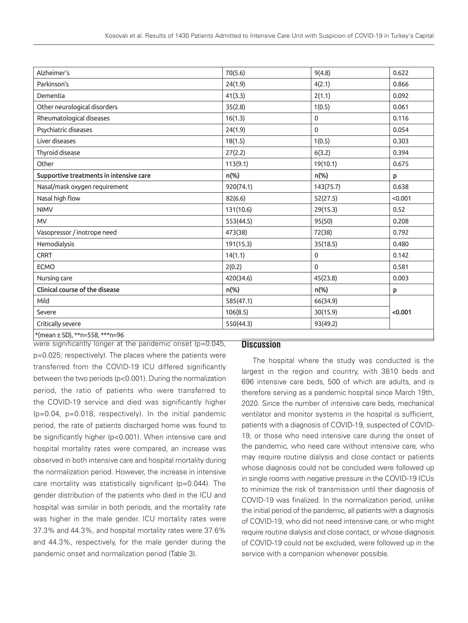| Alzheimer's                             | 70(5.6)   | 9(4.8)       | 0.622   |
|-----------------------------------------|-----------|--------------|---------|
| Parkinson's                             | 24(1.9)   | 4(2.1)       | 0.866   |
| Dementia                                | 41(3.3)   | 2(1.1)       | 0.092   |
| Other neurological disorders            | 35(2.8)   | 1(0.5)       | 0.061   |
| Rheumatological diseases                | 16(1.3)   | $\mathbf 0$  | 0.116   |
| Psychiatric diseases                    | 24(1.9)   | $\Omega$     | 0.054   |
| Liver diseases                          | 18(1.5)   | 1(0.5)       | 0.303   |
| Thyroid disease                         | 27(2.2)   | 6(3.2)       | 0.394   |
| Other                                   | 113(9.1)  | 19(10.1)     | 0.675   |
| Supportive treatments in intensive care | $n$ (%)   | n(%)         | p       |
| Nasal/mask oxygen requirement           | 920(74.1) | 143(75.7)    | 0.638   |
| Nasal high flow                         | 82(6.6)   | 52(27.5)     | < 0.001 |
| <b>NIMV</b>                             | 131(10.6) | 29(15.3)     | 0.52    |
| <b>MV</b>                               | 553(44.5) | 95(50)       | 0.208   |
| Vasopressor / inotrope need             | 473(38)   | 72(38)       | 0.792   |
| Hemodialysis                            | 191(15.3) | 35(18.5)     | 0.480   |
| <b>CRRT</b>                             | 14(1.1)   | $\mathbf 0$  | 0.142   |
| <b>ECMO</b>                             | 2(0.2)    | $\mathbf{0}$ | 0.581   |
| Nursing care                            | 420(34.6) | 45(23.8)     | 0.003   |
| Clinical course of the disease          | n(%)      | n(%)         | p       |
| Mild                                    | 585(47.1) | 66(34.9)     |         |
| Severe                                  | 106(8.5)  | 30(15.9)     | < 0.001 |
| Critically severe                       | 550(44.3) | 93(49.2)     |         |
| *(mean ± SD), ** n=558, *** n=96        |           |              |         |

were significantly longer at the pandemic onset (p=0.045, p=0.025; respectively). The places where the patients were transferred from the COVID-19 ICU differed significantly between the two periods (p<0.001). During the normalization period, the ratio of patients who were transferred to the COVID-19 service and died was significantly higher (p=0.04, p=0.018, respectively). In the initial pandemic period, the rate of patients discharged home was found to be significantly higher (p<0.001). When intensive care and hospital mortality rates were compared, an increase was observed in both intensive care and hospital mortality during the normalization period. However, the increase in intensive care mortality was statistically significant (p=0.044). The gender distribution of the patients who died in the ICU and hospital was similar in both periods, and the mortality rate was higher in the male gender. ICU mortality rates were 37.3% and 44.3%, and hospital mortality rates were 37.6% and 44.3%, respectively, for the male gender during the pandemic onset and normalization period (Table 3).

### **Discussion**

The hospital where the study was conducted is the largest in the region and country, with 3810 beds and 696 intensive care beds, 500 of which are adults, and is therefore serving as a pandemic hospital since March 19th, 2020. Since the number of intensive care beds, mechanical ventilator and monitor systems in the hospital is sufficient, patients with a diagnosis of COVID-19, suspected of COVID-19, or those who need intensive care during the onset of the pandemic, who need care without intensive care, who may require routine dialysis and close contact or patients whose diagnosis could not be concluded were followed up in single rooms with negative pressure in the COVID-19 ICUs to minimize the risk of transmission until their diagnosis of COVID-19 was finalized. In the normalization period, unlike the initial period of the pandemic, all patients with a diagnosis of COVID-19, who did not need intensive care, or who might require routine dialysis and close contact, or whose diagnosis of COVID-19 could not be excluded, were followed up in the service with a companion whenever possible.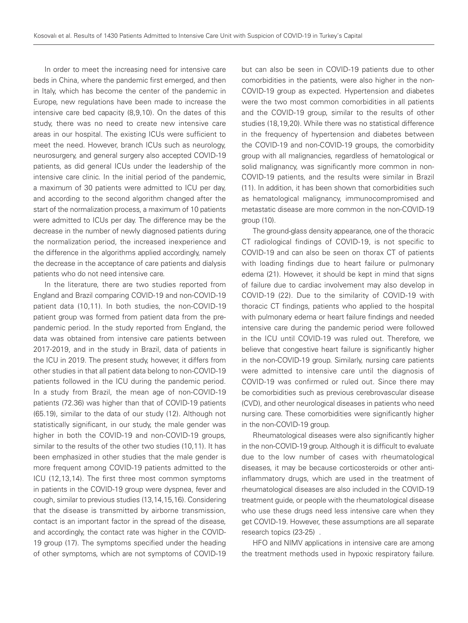In order to meet the increasing need for intensive care beds in China, where the pandemic first emerged, and then in Italy, which has become the center of the pandemic in Europe, new regulations have been made to increase the intensive care bed capacity (8,9,10). On the dates of this study, there was no need to create new intensive care areas in our hospital. The existing ICUs were sufficient to meet the need. However, branch ICUs such as neurology, neurosurgery, and general surgery also accepted COVID-19 patients, as did general ICUs under the leadership of the intensive care clinic. In the initial period of the pandemic, a maximum of 30 patients were admitted to ICU per day, and according to the second algorithm changed after the start of the normalization process, a maximum of 10 patients were admitted to ICUs per day. The difference may be the decrease in the number of newly diagnosed patients during the normalization period, the increased inexperience and the difference in the algorithms applied accordingly, namely the decrease in the acceptance of care patients and dialysis patients who do not need intensive care.

In the literature, there are two studies reported from England and Brazil comparing COVID-19 and non-COVID-19 patient data (10,11). In both studies, the non-COVID-19 patient group was formed from patient data from the prepandemic period. In the study reported from England, the data was obtained from intensive care patients between 2017-2019, and in the study in Brazil, data of patients in the ICU in 2019. The present study, however, it differs from other studies in that all patient data belong to non-COVID-19 patients followed in the ICU during the pandemic period. In a study from Brazil, the mean age of non-COVID-19 patients (72.36) was higher than that of COVID-19 patients (65.19), similar to the data of our study (12). Although not statistically significant, in our study, the male gender was higher in both the COVID-19 and non-COVID-19 groups, similar to the results of the other two studies (10,11). It has been emphasized in other studies that the male gender is more frequent among COVID-19 patients admitted to the ICU (12,13,14). The first three most common symptoms in patients in the COVID-19 group were dyspnea, fever and cough, similar to previous studies (13,14,15,16). Considering that the disease is transmitted by airborne transmission, contact is an important factor in the spread of the disease, and accordingly, the contact rate was higher in the COVID-19 group (17). The symptoms specified under the heading of other symptoms, which are not symptoms of COVID-19 but can also be seen in COVID-19 patients due to other comorbidities in the patients, were also higher in the non-COVID-19 group as expected. Hypertension and diabetes were the two most common comorbidities in all patients and the COVID-19 group, similar to the results of other studies (18,19,20). While there was no statistical difference in the frequency of hypertension and diabetes between the COVID-19 and non-COVID-19 groups, the comorbidity group with all malignancies, regardless of hematological or solid malignancy, was significantly more common in non-COVID-19 patients, and the results were similar in Brazil (11). In addition, it has been shown that comorbidities such as hematological malignancy, immunocompromised and metastatic disease are more common in the non-COVID-19 group (10).

The ground-glass density appearance, one of the thoracic CT radiological findings of COVID-19, is not specific to COVID-19 and can also be seen on thorax CT of patients with loading findings due to heart failure or pulmonary edema (21). However, it should be kept in mind that signs of failure due to cardiac involvement may also develop in COVID-19 (22). Due to the similarity of COVID-19 with thoracic CT findings, patients who applied to the hospital with pulmonary edema or heart failure findings and needed intensive care during the pandemic period were followed in the ICU until COVID-19 was ruled out. Therefore, we believe that congestive heart failure is significantly higher in the non-COVID-19 group. Similarly, nursing care patients were admitted to intensive care until the diagnosis of COVID-19 was confirmed or ruled out. Since there may be comorbidities such as previous cerebrovascular disease (CVD), and other neurological diseases in patients who need nursing care. These comorbidities were significantly higher in the non-COVID-19 group.

Rheumatological diseases were also significantly higher in the non-COVID-19 group. Although it is difficult to evaluate due to the low number of cases with rheumatological diseases, it may be because corticosteroids or other antiinflammatory drugs, which are used in the treatment of rheumatological diseases are also included in the COVID-19 treatment guide, or people with the rheumatological disease who use these drugs need less intensive care when they get COVID-19. However, these assumptions are all separate research topics (23-25) .

HFO and NIMV applications in intensive care are among the treatment methods used in hypoxic respiratory failure.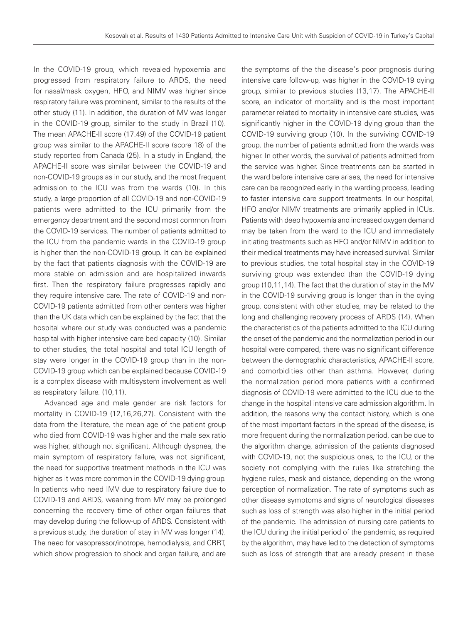In the COVID-19 group, which revealed hypoxemia and progressed from respiratory failure to ARDS, the need for nasal/mask oxygen, HFO, and NIMV was higher since respiratory failure was prominent, similar to the results of the other study (11). In addition, the duration of MV was longer in the COVID-19 group, similar to the study in Brazil (10). The mean APACHE-II score (17.49) of the COVID-19 patient group was similar to the APACHE-II score (score 18) of the study reported from Canada (25). In a study in England, the APACHE-II score was similar between the COVID-19 and non-COVID-19 groups as in our study, and the most frequent admission to the ICU was from the wards (10). In this study, a large proportion of all COVID-19 and non-COVID-19 patients were admitted to the ICU primarily from the emergency department and the second most common from the COVID-19 services. The number of patients admitted to the ICU from the pandemic wards in the COVID-19 group is higher than the non-COVID-19 group. It can be explained by the fact that patients diagnosis with the COVID-19 are more stable on admission and are hospitalized inwards first. Then the respiratory failure progresses rapidly and they require intensive care. The rate of COVID-19 and non-COVID-19 patients admitted from other centers was higher than the UK data which can be explained by the fact that the hospital where our study was conducted was a pandemic hospital with higher intensive care bed capacity (10). Similar to other studies, the total hospital and total ICU length of stay were longer in the COVID-19 group than in the non-COVID-19 group which can be explained because COVID-19 is a complex disease with multisystem involvement as well as respiratory failure. (10,11).

Advanced age and male gender are risk factors for mortality in COVID-19 (12,16,26,27). Consistent with the data from the literature, the mean age of the patient group who died from COVID-19 was higher and the male sex ratio was higher, although not significant. Although dyspnea, the main symptom of respiratory failure, was not significant, the need for supportive treatment methods in the ICU was higher as it was more common in the COVID-19 dying group. In patients who need IMV due to respiratory failure due to COVID-19 and ARDS, weaning from MV may be prolonged concerning the recovery time of other organ failures that may develop during the follow-up of ARDS. Consistent with a previous study, the duration of stay in MV was longer (14). The need for vasopressor/inotrope, hemodialysis, and CRRT, which show progression to shock and organ failure, and are

the symptoms of the the disease's poor prognosis during intensive care follow-up, was higher in the COVID-19 dying group, similar to previous studies (13,17). The APACHE-II score, an indicator of mortality and is the most important parameter related to mortality in intensive care studies, was significantly higher in the COVID-19 dying group than the COVID-19 surviving group (10). In the surviving COVID-19 group, the number of patients admitted from the wards was higher. In other words, the survival of patients admitted from the service was higher. Since treatments can be started in the ward before intensive care arises, the need for intensive care can be recognized early in the warding process, leading to faster intensive care support treatments. In our hospital, HFO and/or NIMV treatments are primarily applied in ICUs. Patients with deep hypoxemia and increased oxygen demand may be taken from the ward to the ICU and immediately initiating treatments such as HFO and/or NIMV in addition to their medical treatments may have increased survival. Similar to previous studies, the total hospital stay in the COVID-19 surviving group was extended than the COVID-19 dying group (10,11,14). The fact that the duration of stay in the MV in the COVID-19 surviving group is longer than in the dying group, consistent with other studies, may be related to the long and challenging recovery process of ARDS (14). When the characteristics of the patients admitted to the ICU during the onset of the pandemic and the normalization period in our hospital were compared, there was no significant difference between the demographic characteristics, APACHE-II score, and comorbidities other than asthma. However, during the normalization period more patients with a confirmed diagnosis of COVID-19 were admitted to the ICU due to the change in the hospital intensive care admission algorithm. In addition, the reasons why the contact history, which is one of the most important factors in the spread of the disease, is more frequent during the normalization period, can be due to the algorithm change, admission of the patients diagnosed with COVID-19, not the suspicious ones, to the ICU, or the society not complying with the rules like stretching the hygiene rules, mask and distance, depending on the wrong perception of normalization. The rate of symptoms such as other disease symptoms and signs of neurological diseases such as loss of strength was also higher in the initial period of the pandemic. The admission of nursing care patients to the ICU during the initial period of the pandemic, as required by the algorithm, may have led to the detection of symptoms such as loss of strength that are already present in these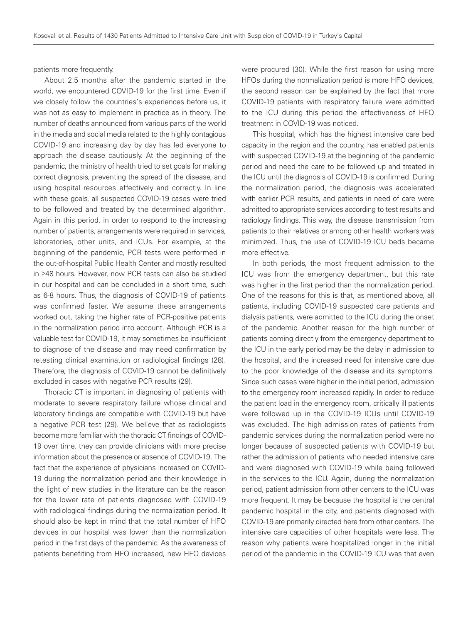patients more frequently.

About 2.5 months after the pandemic started in the world, we encountered COVID-19 for the first time. Even if we closely follow the countries's experiences before us, it was not as easy to implement in practice as in theory. The number of deaths announced from various parts of the world in the media and social media related to the highly contagious COVID-19 and increasing day by day has led everyone to approach the disease cautiously. At the beginning of the pandemic, the ministry of health tried to set goals for making correct diagnosis, preventing the spread of the disease, and using hospital resources effectively and correctly. In line with these goals, all suspected COVID-19 cases were tried to be followed and treated by the determined algorithm. Again in this period, in order to respond to the increasing number of patients, arrangements were required in services, laboratories, other units, and ICUs. For example, at the beginning of the pandemic, PCR tests were performed in the out-of-hospital Public Health Center and mostly resulted in ≥48 hours. However, now PCR tests can also be studied in our hospital and can be concluded in a short time, such as 6-8 hours. Thus, the diagnosis of COVID-19 of patients was confirmed faster. We assume these arrangements worked out, taking the higher rate of PCR-positive patients in the normalization period into account. Although PCR is a valuable test for COVID-19, it may sometimes be insufficient to diagnose of the disease and may need confirmation by retesting clinical examination or radiological findings (28). Therefore, the diagnosis of COVID-19 cannot be definitively excluded in cases with negative PCR results (29).

Thoracic CT is important in diagnosing of patients with moderate to severe respiratory failure whose clinical and laboratory findings are compatible with COVID-19 but have a negative PCR test (29). We believe that as radiologists become more familiar with the thoracic CT findings of COVID-19 over time, they can provide clinicians with more precise information about the presence or absence of COVID-19. The fact that the experience of physicians increased on COVID-19 during the normalization period and their knowledge in the light of new studies in the literature can be the reason for the lower rate of patients diagnosed with COVID-19 with radiological findings during the normalization period. It should also be kept in mind that the total number of HFO devices in our hospital was lower than the normalization period in the first days of the pandemic. As the awareness of patients benefiting from HFO increased, new HFO devices were procured (30). While the first reason for using more HFOs during the normalization period is more HFO devices, the second reason can be explained by the fact that more COVID-19 patients with respiratory failure were admitted to the ICU during this period the effectiveness of HFO treatment in COVID-19 was noticed.

This hospital, which has the highest intensive care bed capacity in the region and the country, has enabled patients with suspected COVID-19 at the beginning of the pandemic period and need the care to be followed up and treated in the ICU until the diagnosis of COVID-19 is confirmed. During the normalization period, the diagnosis was accelerated with earlier PCR results, and patients in need of care were admitted to appropriate services according to test results and radiology findings. This way, the disease transmission from patients to their relatives or among other health workers was minimized. Thus, the use of COVID-19 ICU beds became more effective.

In both periods, the most frequent admission to the ICU was from the emergency department, but this rate was higher in the first period than the normalization period. One of the reasons for this is that, as mentioned above, all patients, including COVID-19 suspected care patients and dialysis patients, were admitted to the ICU during the onset of the pandemic. Another reason for the high number of patients coming directly from the emergency department to the ICU in the early period may be the delay in admission to the hospital, and the increased need for intensive care due to the poor knowledge of the disease and its symptoms. Since such cases were higher in the initial period, admission to the emergency room increased rapidly. In order to reduce the patient load in the emergency room, critically ill patients were followed up in the COVID-19 ICUs until COVID-19 was excluded. The high admission rates of patients from pandemic services during the normalization period were no longer because of suspected patients with COVID-19 but rather the admission of patients who needed intensive care and were diagnosed with COVID-19 while being followed in the services to the ICU. Again, during the normalization period, patient admission from other centers to the ICU was more frequent. It may be because the hospital is the central pandemic hospital in the city, and patients diagnosed with COVID-19 are primarily directed here from other centers. The intensive care capacities of other hospitals were less. The reason why patients were hospitalized longer in the initial period of the pandemic in the COVID-19 ICU was that even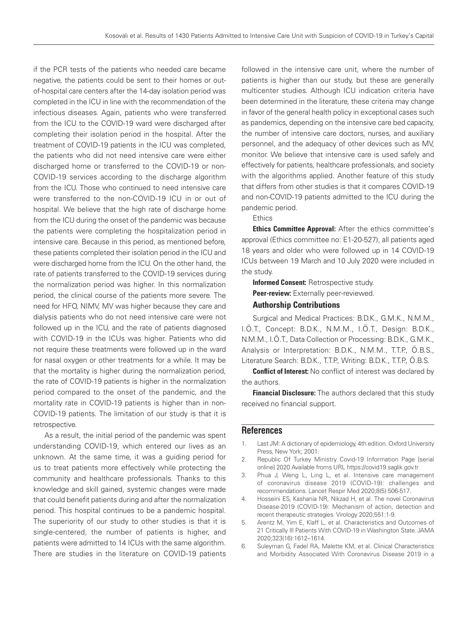if the PCR tests of the patients who needed care became negative, the patients could be sent to their homes or outof-hospital care centers after the 14-day isolation period was completed in the ICU in line with the recommendation of the infectious diseases. Again, patients who were transferred from the ICU to the COVID-19 ward were discharged after completing their isolation period in the hospital. After the treatment of COVID-19 patients in the ICU was completed, the patients who did not need intensive care were either discharged home or transferred to the COVID-19 or non-COVID-19 services according to the discharge algorithm from the ICU. Those who continued to need intensive care were transferred to the non-COVID-19 ICU in or out of hospital. We believe that the high rate of discharge home from the ICU during the onset of the pandemic was because the patients were completing the hospitalization period in intensive care. Because in this period, as mentioned before, these patients completed their isolation period in the ICU and were discharged home from the ICU. On the other hand, the rate of patients transferred to the COVID-19 services during the normalization period was higher. In this normalization period, the clinical course of the patients more severe. The need for HFO, NIMV, MV was higher because they care and dialysis patients who do not need intensive care were not followed up in the ICU, and the rate of patients diagnosed with COVID-19 in the ICUs was higher. Patients who did not require these treatments were followed up in the ward for nasal oxygen or other treatments for a while. It may be that the mortality is higher during the normalization period, the rate of COVID-19 patients is higher in the normalization period compared to the onset of the pandemic, and the mortality rate in COVID-19 patients is higher than in non-COVID-19 patients. The limitation of our study is that it is retrospective.

As a result, the initial period of the pandemic was spent understanding COVID-19, which entered our lives as an unknown. At the same time, it was a guiding period for us to treat patients more effectively while protecting the community and healthcare professionals. Thanks to this knowledge and skill gained, systemic changes were made that could benefit patients during and after the normalization period. This hospital continues to be a pandemic hospital. The superiority of our study to other studies is that it is single-centered, the number of patients is higher, and patients were admitted to 14 ICUs with the same algorithm. There are studies in the literature on COVID-19 patients followed in the intensive care unit, where the number of patients is higher than our study, but these are generally multicenter studies. Although ICU indication criteria have been determined in the literature, these criteria may change in favor of the general health policy in exceptional cases such as pandemics, depending on the intensive care bed capacity, the number of intensive care doctors, nurses, and auxiliary personnel, and the adequacy of other devices such as MV, monitor. We believe that intensive care is used safely and effectively for patients, healthcare professionals, and society with the algorithms applied. Another feature of this study that differs from other studies is that it compares COVID-19 and non-COVID-19 patients admitted to the ICU during the pandemic period.

**Ethics** 

Ethics Committee Approval: After the ethics committee's approval (Ethics committee no: E1-20-527), all patients aged 18 years and older who were followed up in 14 COVID-19 ICUs between 19 March and 10 July 2020 were included in the study.

Informed Consent: Retrospective study.

Peer-review: Externally peer-reviewed.

#### Authorship Contributions

Surgical and Medical Practices: B.D.K., G.M.K., N.M.M., I.Ö.T., Concept: B.D.K., N.M.M., I.Ö.T., Design: B.D.K., N.M.M., I.Ö.T., Data Collection or Processing: B.D.K., G.M.K., Analysis or Interpretation: B.D.K., N.M.M., T.T.P., Ö.B.S., Literature Search: B.D.K., T.T.P., Writing: B.D.K., T.T.P., Ö.B.S.

**Conflict of Interest:** No conflict of interest was declared by the authors.

Financial Disclosure: The authors declared that this study received no financial support.

#### **References**

- 1. Last JM: A dictionary of epidemiology, 4th edition. Oxford University Press, New York; 2001.
- 2. Republic Of Turkey Ministry Covıd-19 Information Page [serial online] 2020 Available froms URL https://covid19.saglik.gov.tr
- 3. Phua J, Weng L, Ling L, et al. Intensive care management of coronavirus disease 2019 (COVID-19): challenges and recommendations. Lancet Respir Med 2020;8(5):506-517.
- 4. Hosseini ES, Kashania NR, Nikzad H, et al. The novel Coronavirus Disease-2019 (COVID-19): Mechanism of action, detection and recent therapeutic strategies. Virology 2020;551:1-9.
- 5. Arentz M, Yim E, Klaff L, et al. Characteristics and Outcomes of 21 Critically Ill Patients With COVID-19 in Washington State. JAMA 2020;323(16):1612–1614.
- 6. Suleyman G, Fadel RA, Malette KM, et al. Clinical Characteristics and Morbidity Associated With Coronavirus Disease 2019 in a